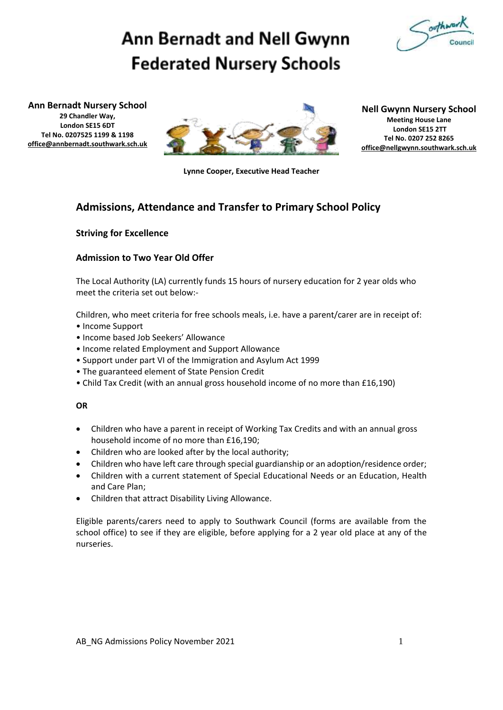

# **Ann Bernadt and Nell Gwynn Federated Nursery Schools**

**Ann Bernadt Nursery School 29 Chandler Way, London SE15 6DT Tel No. 0207525 1199 & 1198 [office@annbernadt.southwark.sch.uk](mailto:office@annbernadt.southwark.sch.uk)**



#### **Nell Gwynn Nursery School Meeting House Lane London SE15 2TT Tel No. 0207 252 8265 [office@nellgwynn.southwark.sch.uk](mailto:office@nellgwynn.southwark.sch.uk)**

**Lynne Cooper, Executive Head Teacher**

# **Admissions, Attendance and Transfer to Primary School Policy**

# **Striving for Excellence**

# **Admission to Two Year Old Offer**

The Local Authority (LA) currently funds 15 hours of nursery education for 2 year olds who meet the criteria set out below:-

Children, who meet criteria for free schools meals, i.e. have a parent/carer are in receipt of: • Income Support

- Income based Job Seekers' Allowance
- Income related Employment and Support Allowance
- Support under part VI of the Immigration and Asylum Act 1999
- The guaranteed element of State Pension Credit
- Child Tax Credit (with an annual gross household income of no more than £16,190)

#### **OR**

- Children who have a parent in receipt of Working Tax Credits and with an annual gross household income of no more than £16,190;
- Children who are looked after by the local authority;
- Children who have left care through special guardianship or an adoption/residence order;
- Children with a current statement of Special Educational Needs or an Education, Health and Care Plan;
- Children that attract Disability Living Allowance.

Eligible parents/carers need to apply to Southwark Council (forms are available from the school office) to see if they are eligible, before applying for a 2 year old place at any of the nurseries.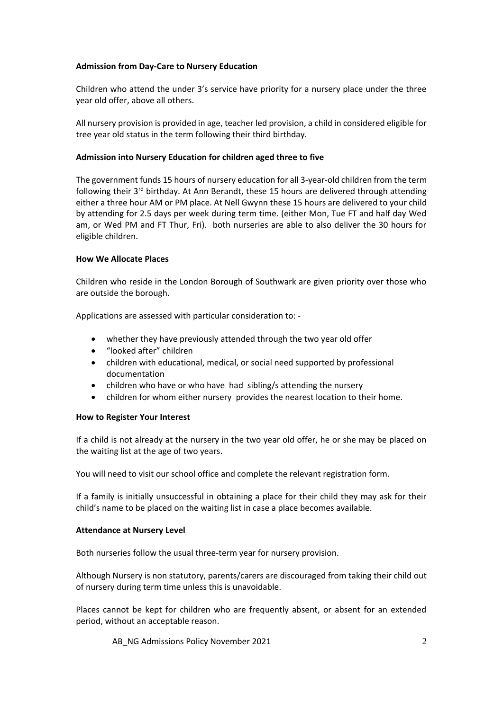#### **Admission from Day-Care to Nursery Education**

Children who attend the under 3's service have priority for a nursery place under the three year old offer, above all others.

All nursery provision is provided in age, teacher led provision, a child in considered eligible for tree year old status in the term following their third birthday.

#### **Admission into Nursery Education for children aged three to five**

The government funds 15 hours of nursery education for all 3-year-old children from the term following their  $3<sup>rd</sup>$  birthday. At Ann Berandt, these 15 hours are delivered through attending either a three hour AM or PM place. At Nell Gwynn these 15 hours are delivered to your child by attending for 2.5 days per week during term time. (either Mon, Tue FT and half day Wed am, or Wed PM and FT Thur, Fri). both nurseries are able to also deliver the 30 hours for eligible children.

#### **How We Allocate Places**

Children who reside in the London Borough of Southwark are given priority over those who are outside the borough.

Applications are assessed with particular consideration to: -

- whether they have previously attended through the two year old offer
- "looked after" children
- children with educational, medical, or social need supported by professional documentation
- children who have or who have had sibling/s attending the nursery
- children for whom either nursery provides the nearest location to their home.

#### **How to Register Your Interest**

If a child is not already at the nursery in the two year old offer, he or she may be placed on the waiting list at the age of two years.

You will need to visit our school office and complete the relevant registration form.

If a family is initially unsuccessful in obtaining a place for their child they may ask for their child's name to be placed on the waiting list in case a place becomes available.

#### **Attendance at Nursery Level**

Both nurseries follow the usual three-term year for nursery provision.

Although Nursery is non statutory, parents/carers are discouraged from taking their child out of nursery during term time unless this is unavoidable.

Places cannot be kept for children who are frequently absent, or absent for an extended period, without an acceptable reason.

AB\_NG Admissions Policy November 2021 2021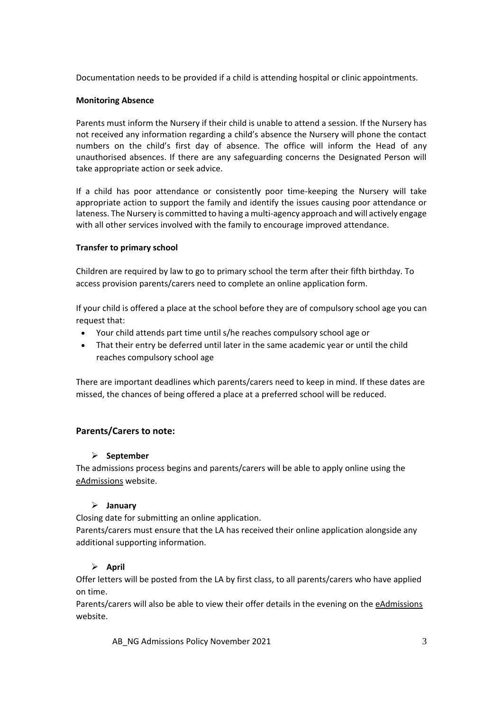Documentation needs to be provided if a child is attending hospital or clinic appointments.

# **Monitoring Absence**

Parents must inform the Nursery if their child is unable to attend a session. If the Nursery has not received any information regarding a child's absence the Nursery will phone the contact numbers on the child's first day of absence. The office will inform the Head of any unauthorised absences. If there are any safeguarding concerns the Designated Person will take appropriate action or seek advice.

If a child has poor attendance or consistently poor time-keeping the Nursery will take appropriate action to support the family and identify the issues causing poor attendance or lateness. The Nursery is committed to having a multi-agency approach and will actively engage with all other services involved with the family to encourage improved attendance.

### **Transfer to primary school**

Children are required by law to go to primary school the term after their fifth birthday. To access provision parents/carers need to complete an online application form.

If your child is offered a place at the school before they are of compulsory school age you can request that:

- Your child attends part time until s/he reaches compulsory school age or
- That their entry be deferred until later in the same academic year or until the child reaches compulsory school age

There are important deadlines which parents/carers need to keep in mind. If these dates are missed, the chances of being offered a place at a preferred school will be reduced.

# **Parents/Carers to note:**

# ➢ **September**

The admissions process begins and parents/carers will be able to apply online using th[e](https://www.eadmissions.org.uk/eAdmissions/app) [eAdmissions](https://www.eadmissions.org.uk/eAdmissions/app) website.

# ➢ **January**

Closing date for submitting an online application.

Parents/carers must ensure that the LA has received their online application alongside any additional supporting information.

# ➢ **April**

Offer letters will be posted from the LA by first class, to all parents/carers who have applied on time.

Parents/carers will also be able to view their offer details in the evening on the [eAdmissions](https://www.eadmissions.org.uk/eAdmissions/app) website.

AB\_NG Admissions Policy November 2021 3 3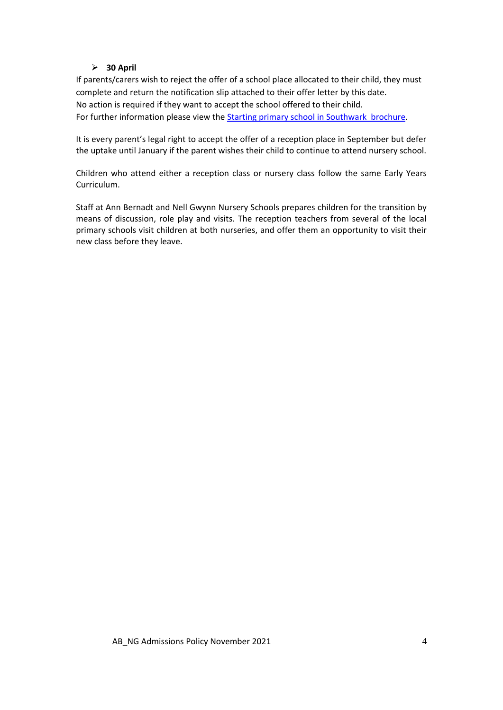# ➢ **30 April**

If parents/carers wish to reject the offer of a school place allocated to their child, they must complete and return the notification slip attached to their offer letter by this date. No action is required if they want to accept the school offered to their child. For further information please view the Starting primary school in [Southwark brochure.](http://www.southwark.gov.uk/downloads/download/2483/primary_school_admissions)

It is every parent's legal right to accept the offer of a reception place in September but defer the uptake until January if the parent wishes their child to continue to attend nursery school.

Children who attend either a reception class or nursery class follow the same Early Years Curriculum.

Staff at Ann Bernadt and Nell Gwynn Nursery Schools prepares children for the transition by means of discussion, role play and visits. The reception teachers from several of the local primary schools visit children at both nurseries, and offer them an opportunity to visit their new class before they leave.